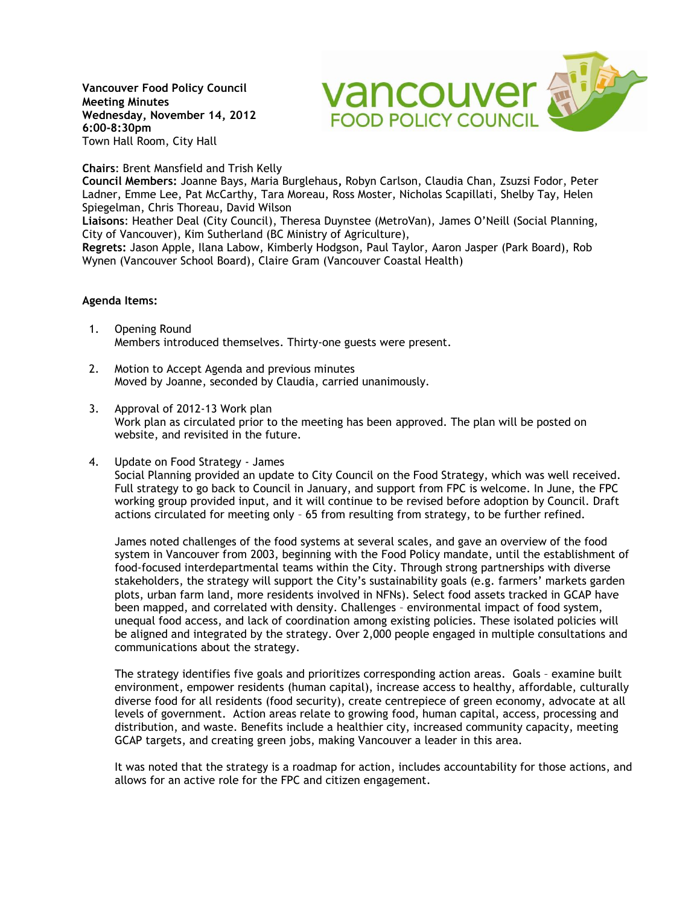**Vancouver Food Policy Council Meeting Minutes Wednesday, November 14, 2012 6:00-8:30pm**  Town Hall Room, City Hall



## **Chairs**: Brent Mansfield and Trish Kelly

**Council Members:** Joanne Bays, Maria Burglehaus**,** Robyn Carlson, Claudia Chan, Zsuzsi Fodor, Peter Ladner, Emme Lee, Pat McCarthy, Tara Moreau, Ross Moster, Nicholas Scapillati, Shelby Tay, Helen Spiegelman, Chris Thoreau, David Wilson

**Liaisons**: Heather Deal (City Council), Theresa Duynstee (MetroVan), James O'Neill (Social Planning, City of Vancouver), Kim Sutherland (BC Ministry of Agriculture),

**Regrets:** Jason Apple, Ilana Labow, Kimberly Hodgson, Paul Taylor, Aaron Jasper (Park Board), Rob Wynen (Vancouver School Board), Claire Gram (Vancouver Coastal Health)

## **Agenda Items:**

- 1. Opening Round Members introduced themselves. Thirty-one guests were present.
- 2. Motion to Accept Agenda and previous minutes Moved by Joanne, seconded by Claudia, carried unanimously.
- 3. Approval of 2012-13 Work plan Work plan as circulated prior to the meeting has been approved. The plan will be posted on website, and revisited in the future.
- 4. Update on Food Strategy James

Social Planning provided an update to City Council on the Food Strategy, which was well received. Full strategy to go back to Council in January, and support from FPC is welcome. In June, the FPC working group provided input, and it will continue to be revised before adoption by Council. Draft actions circulated for meeting only – 65 from resulting from strategy, to be further refined.

James noted challenges of the food systems at several scales, and gave an overview of the food system in Vancouver from 2003, beginning with the Food Policy mandate, until the establishment of food-focused interdepartmental teams within the City. Through strong partnerships with diverse stakeholders, the strategy will support the City's sustainability goals (e.g. farmers' markets garden plots, urban farm land, more residents involved in NFNs). Select food assets tracked in GCAP have been mapped, and correlated with density. Challenges – environmental impact of food system, unequal food access, and lack of coordination among existing policies. These isolated policies will be aligned and integrated by the strategy. Over 2,000 people engaged in multiple consultations and communications about the strategy.

The strategy identifies five goals and prioritizes corresponding action areas. Goals – examine built environment, empower residents (human capital), increase access to healthy, affordable, culturally diverse food for all residents (food security), create centrepiece of green economy, advocate at all levels of government. Action areas relate to growing food, human capital, access, processing and distribution, and waste. Benefits include a healthier city, increased community capacity, meeting GCAP targets, and creating green jobs, making Vancouver a leader in this area.

It was noted that the strategy is a roadmap for action, includes accountability for those actions, and allows for an active role for the FPC and citizen engagement.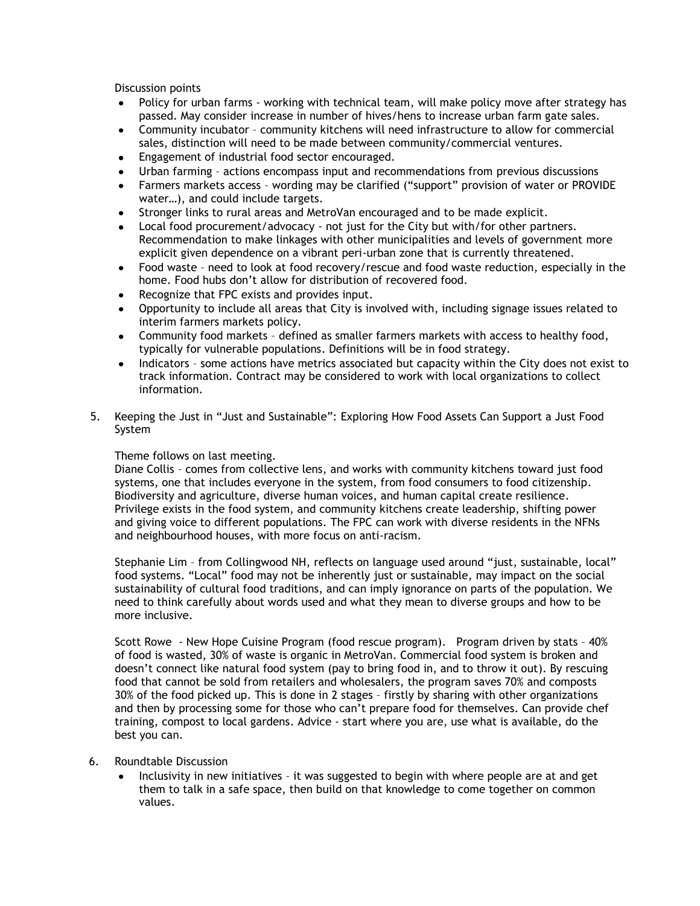Discussion points

- Policy for urban farms working with technical team, will make policy move after strategy has passed. May consider increase in number of hives/hens to increase urban farm gate sales.
- Community incubator community kitchens will need infrastructure to allow for commercial sales, distinction will need to be made between community/commercial ventures.
- Engagement of industrial food sector encouraged.
- Urban farming actions encompass input and recommendations from previous discussions
- Farmers markets access wording may be clarified ("support" provision of water or PROVIDE water…), and could include targets.
- Stronger links to rural areas and MetroVan encouraged and to be made explicit.  $\bullet$
- Local food procurement/advocacy not just for the City but with/for other partners. Recommendation to make linkages with other municipalities and levels of government more explicit given dependence on a vibrant peri-urban zone that is currently threatened.
- Food waste need to look at food recovery/rescue and food waste reduction, especially in the  $\bullet$ home. Food hubs don't allow for distribution of recovered food.
- Recognize that FPC exists and provides input.
- Opportunity to include all areas that City is involved with, including signage issues related to interim farmers markets policy.
- Community food markets defined as smaller farmers markets with access to healthy food, typically for vulnerable populations. Definitions will be in food strategy.
- Indicators some actions have metrics associated but capacity within the City does not exist to track information. Contract may be considered to work with local organizations to collect information.
- 5. Keeping the Just in "Just and Sustainable": Exploring How Food Assets Can Support a Just Food System

## Theme follows on last meeting.

Diane Collis – comes from collective lens, and works with community kitchens toward just food systems, one that includes everyone in the system, from food consumers to food citizenship. Biodiversity and agriculture, diverse human voices, and human capital create resilience. Privilege exists in the food system, and community kitchens create leadership, shifting power and giving voice to different populations. The FPC can work with diverse residents in the NFNs and neighbourhood houses, with more focus on anti-racism.

Stephanie Lim – from Collingwood NH, reflects on language used around "just, sustainable, local" food systems. "Local" food may not be inherently just or sustainable, may impact on the social sustainability of cultural food traditions, and can imply ignorance on parts of the population. We need to think carefully about words used and what they mean to diverse groups and how to be more inclusive.

Scott Rowe - New Hope Cuisine Program (food rescue program). Program driven by stats – 40% of food is wasted, 30% of waste is organic in MetroVan. Commercial food system is broken and doesn't connect like natural food system (pay to bring food in, and to throw it out). By rescuing food that cannot be sold from retailers and wholesalers, the program saves 70% and composts 30% of the food picked up. This is done in 2 stages – firstly by sharing with other organizations and then by processing some for those who can't prepare food for themselves. Can provide chef training, compost to local gardens. Advice - start where you are, use what is available, do the best you can.

- 6. Roundtable Discussion
	- Inclusivity in new initiatives it was suggested to begin with where people are at and get them to talk in a safe space, then build on that knowledge to come together on common values.